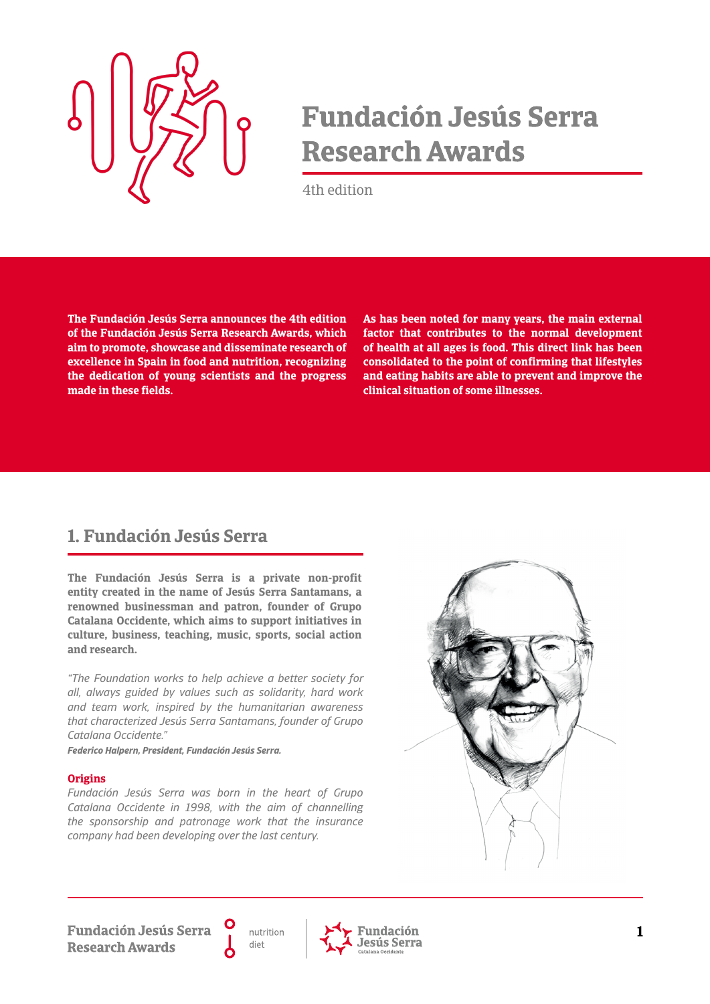

# **Fundación Jesús Serra Research Awards**

4th edition

**The Fundación Jesús Serra announces the 4th edition of the Fundación Jesús Serra Research Awards, which aim to promote, showcase and disseminate research of excellence in Spain in food and nutrition, recognizing the dedication of young scientists and the progress made in these fields.**

**As has been noted for many years, the main external factor that contributes to the normal development of health at all ages is food. This direct link has been consolidated to the point of confirming that lifestyles and eating habits are able to prevent and improve the clinical situation of some illnesses.**

# **1. Fundación Jesús Serra**

**The Fundación Jesús Serra is a private non-profit entity created in the name of Jesús Serra Santamans, a renowned businessman and patron, founder of Grupo Catalana Occidente, which aims to support initiatives in culture, business, teaching, music, sports, social action and research.**

*"The Foundation works to help achieve a better society for all, always guided by values such as solidarity, hard work and team work, inspired by the humanitarian awareness that characterized Jesús Serra Santamans, founder of Grupo Catalana Occidente."*

*Federico Halpern, President, Fundación Jesús Serra.*

#### **Origins**

*Fundación Jesús Serra was born in the heart of Grupo Catalana Occidente in 1998, with the aim of channelling the sponsorship and patronage work that the insurance company had been developing over the last century.*



**Fundación Jesús Serra Research Awards** 

nutrition diet

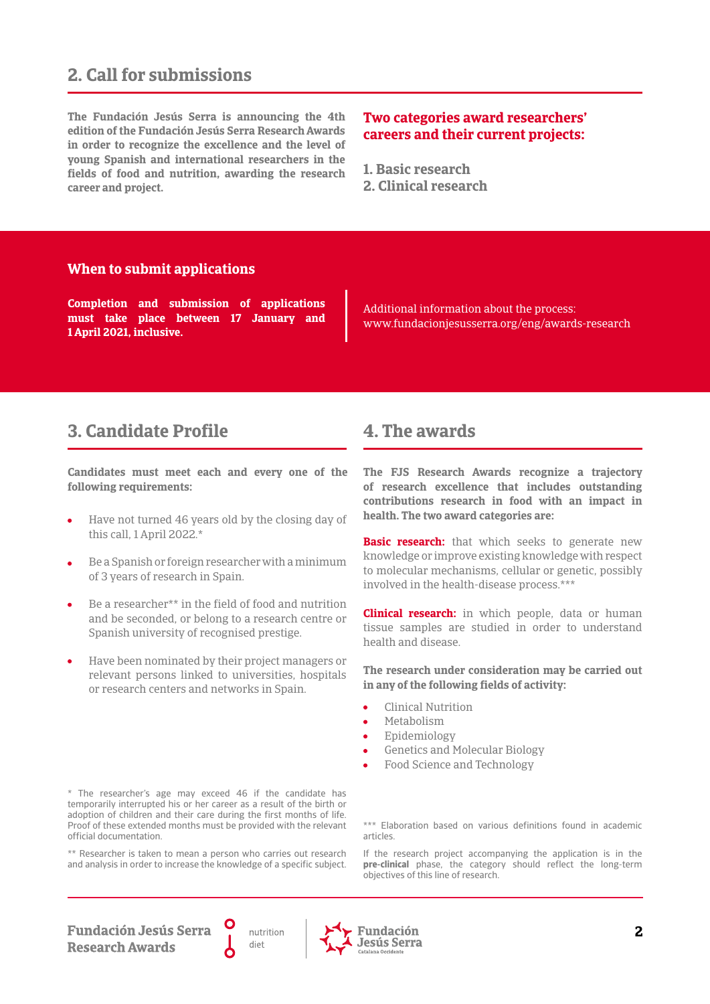# **2. Call for submissions**

**The Fundación Jesús Serra is announcing the 4th edition of the Fundación Jesús Serra Research Awards in order to recognize the excellence and the level of young Spanish and international researchers in the fields of food and nutrition, awarding the research career and project.**

#### **Two categories award researchers' careers and their current projects:**

**1. Basic research**

**2. Clinical research**

#### **When to submit applications**

**Completion and submission of applications must take place between 17 January and 1 April 2021, inclusive.**

Additional information about the process: www.fundacionjesusserra.org/eng/awards-research

## **3. Candidate Profile 4. The awards**

**Candidates must meet each and every one of the following requirements:**

- Have not turned 46 years old by the closing day of this call, 1 April 2022.\*
- Be a Spanish or foreign researcher with a minimum of 3 years of research in Spain.
- Be a researcher\*\* in the field of food and nutrition and be seconded, or belong to a research centre or Spanish university of recognised prestige.
- Have been nominated by their project managers or relevant persons linked to universities, hospitals or research centers and networks in Spain.

#### \* The researcher's age may exceed 46 if the candidate has temporarily interrupted his or her career as a result of the birth or adoption of children and their care during the first months of life. Proof of these extended months must be provided with the relevant official documentation.

\*\* Researcher is taken to mean a person who carries out research and analysis in order to increase the knowledge of a specific subject.

**The FJS Research Awards recognize a trajectory of research excellence that includes outstanding contributions research in food with an impact in health. The two award categories are:**

**Basic research:** that which seeks to generate new knowledge or improve existing knowledge with respect to molecular mechanisms, cellular or genetic, possibly involved in the health-disease process.\*\*\*

**Clinical research:** in which people, data or human tissue samples are studied in order to understand health and disease.

**The research under consideration may be carried out in any of the following fields of activity:**

- Clinical Nutrition
- Metabolism
- Epidemiology
- Genetics and Molecular Biology
- Food Science and Technology

\*\*\* Elaboration based on various definitions found in academic articles.

If the research project accompanying the application is in the **pre-clinical** phase, the category should reflect the long-term objectives of this line of research.

**Fundación Jesús Serra Research Awards** 



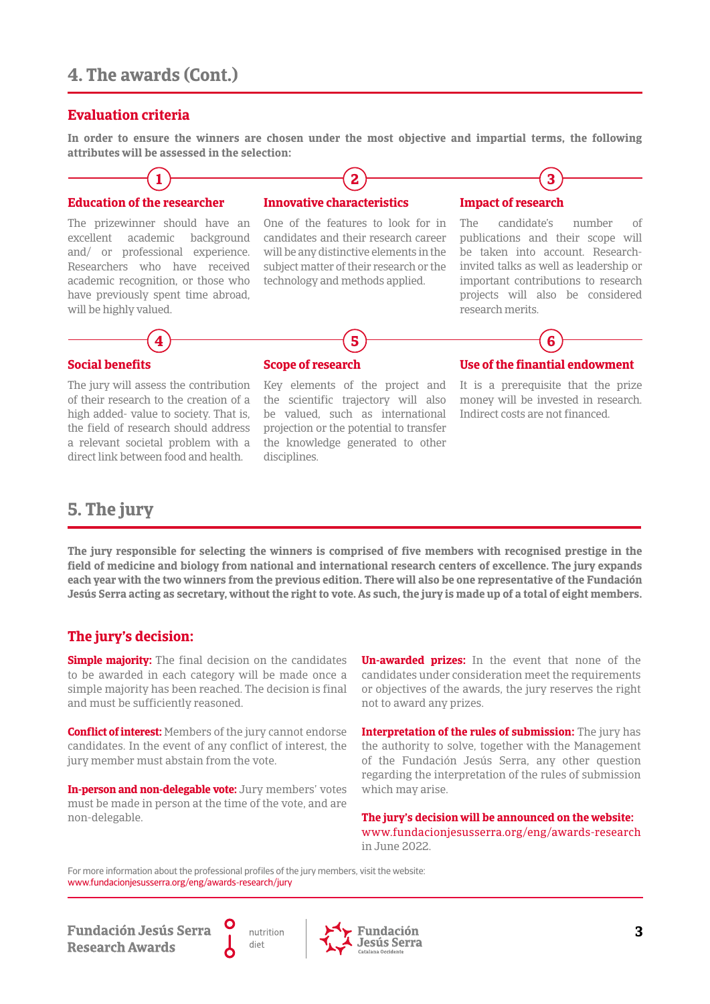# **4. The awards (Cont.)**

#### **Evaluation criteria**

**In order to ensure the winners are chosen under the most objective and impartial terms, the following attributes will be assessed in the selection:**



The prizewinner should have an excellent academic background and/ or professional experience. Researchers who have received academic recognition, or those who have previously spent time abroad, will be highly valued.

**4**

One of the features to look for in candidates and their research career will be any distinctive elements in the subject matter of their research or the technology and methods applied.

The candidate's number of publications and their scope will be taken into account. Researchinvited talks as well as leadership or important contributions to research projects will also be considered research merits.



The jury will assess the contribution of their research to the creation of a high added- value to society. That is, the field of research should address a relevant societal problem with a direct link between food and health.

#### **Scope of research**

Key elements of the project and the scientific trajectory will also be valued, such as international projection or the potential to transfer the knowledge generated to other disciplines.

**5**



It is a prerequisite that the prize money will be invested in research. Indirect costs are not financed.

# **5. The jury**

**The jury responsible for selecting the winners is comprised of five members with recognised prestige in the field of medicine and biology from national and international research centers of excellence. The jury expands each year with the two winners from the previous edition. There will also be one representative of the Fundación Jesús Serra acting as secretary, without the right to vote. As such, the jury is made up of a total of eight members.**

#### **The jury's decision:**

**Simple majority:** The final decision on the candidates to be awarded in each category will be made once a simple majority has been reached. The decision is final and must be sufficiently reasoned.

**Conflict of interest:** Members of the jury cannot endorse candidates. In the event of any conflict of interest, the jury member must abstain from the vote.

**In-person and non-delegable vote:** Jury members' votes must be made in person at the time of the vote, and are non-delegable.

**Un-awarded prizes:** In the event that none of the candidates under consideration meet the requirements or objectives of the awards, the jury reserves the right not to award any prizes.

**Interpretation of the rules of submission:** The jury has the authority to solve, together with the Management of the Fundación Jesús Serra, any other question regarding the interpretation of the rules of submission which may arise.

**The jury's decision will be announced on the website:** www.fundacionjesusserra.org/eng/awards-research in June 2022.

For more information about the professional profiles of the jury members, visit the website: www.fundacionjesusserra.org/eng/awards-research/jury

**Fundación Jesús Serra Research Awards** 



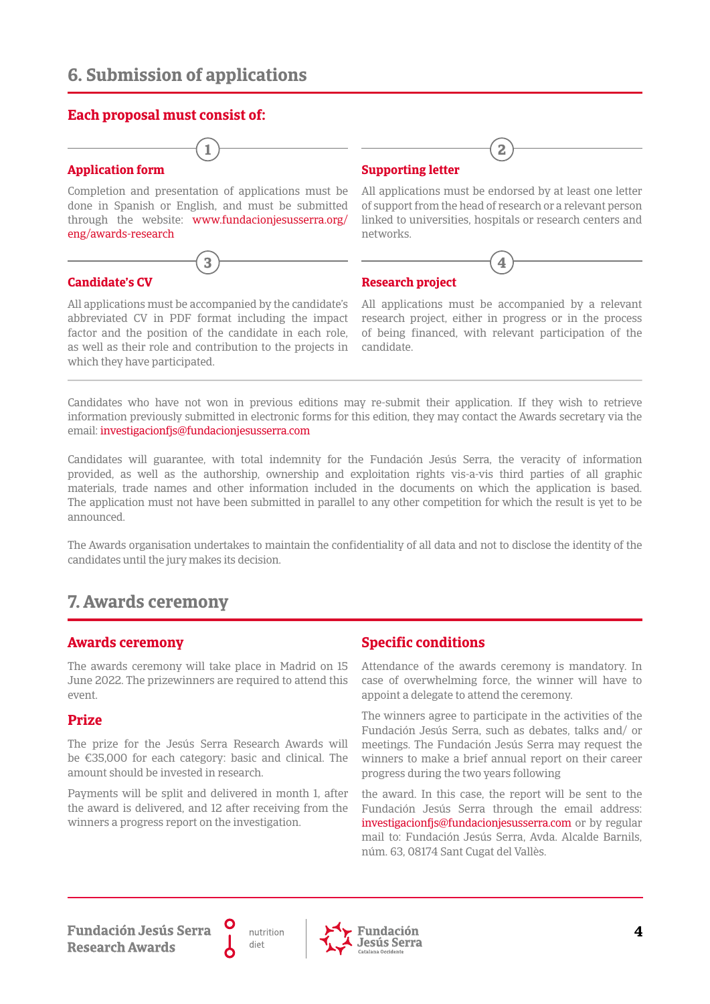### **Each proposal must consist of:**

# **1**

Completion and presentation of applications must be done in Spanish or English, and must be submitted through the website: www.fundacionjesusserra.org/ eng/awards-research

**3**

## **Candidate's CV**

**Application form**

All applications must be accompanied by the candidate's abbreviated CV in PDF format including the impact factor and the position of the candidate in each role, as well as their role and contribution to the projects in which they have participated.

### **Supporting letter**

All applications must be endorsed by at least one letter of support from the head of research or a relevant person linked to universities, hospitals or research centers and networks.

**4**

**2**

# **Research project**

All applications must be accompanied by a relevant research project, either in progress or in the process of being financed, with relevant participation of the candidate.

Candidates who have not won in previous editions may re-submit their application. If they wish to retrieve information previously submitted in electronic forms for this edition, they may contact the Awards secretary via the email: investigacionfjs@fundacionjesusserra.com

Candidates will guarantee, with total indemnity for the Fundación Jesús Serra, the veracity of information provided, as well as the authorship, ownership and exploitation rights vis-a-vis third parties of all graphic materials, trade names and other information included in the documents on which the application is based. The application must not have been submitted in parallel to any other competition for which the result is yet to be announced.

The Awards organisation undertakes to maintain the confidentiality of all data and not to disclose the identity of the candidates until the jury makes its decision.

# **7. Awards ceremony**

#### **Awards ceremony**

The awards ceremony will take place in Madrid on 15 June 2022. The prizewinners are required to attend this event.

#### **Prize**

The prize for the Jesús Serra Research Awards will be €35,000 for each category: basic and clinical. The amount should be invested in research.

Payments will be split and delivered in month 1, after the award is delivered, and 12 after receiving from the winners a progress report on the investigation.

### **Specific conditions**

Attendance of the awards ceremony is mandatory. In case of overwhelming force, the winner will have to appoint a delegate to attend the ceremony.

The winners agree to participate in the activities of the Fundación Jesús Serra, such as debates, talks and/ or meetings. The Fundación Jesús Serra may request the winners to make a brief annual report on their career progress during the two years following

the award. In this case, the report will be sent to the Fundación Jesús Serra through the email address: investigacionfjs@fundacionjesusserra.com or by regular mail to: Fundación Jesús Serra, Avda. Alcalde Barnils, núm. 63, 08174 Sant Cugat del Vallès.